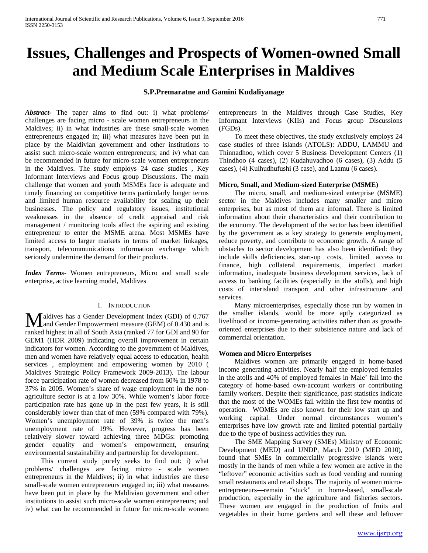# **Issues, Challenges and Prospects of Women-owned Small and Medium Scale Enterprises in Maldives**

# **S.P.Premaratne and Gamini Kudaliyanage**

*Abstract***-** The paper aims to find out: i) what problems/ challenges are facing micro - scale women entrepreneurs in the Maldives; ii) in what industries are these small-scale women entrepreneurs engaged in; iii) what measures have been put in place by the Maldivian government and other institutions to assist such micro-scale women entrepreneurs; and iv) what can be recommended in future for micro-scale women entrepreneurs in the Maldives. The study employs 24 case studies , Key Informant Interviews and Focus group Discussions. The main challenge that women and youth MSMEs face is adequate and timely financing on competitive terms particularly longer terms and limited human resource availability for scaling up their businesses. The policy and regulatory issues, institutional weaknesses in the absence of credit appraisal and risk management / monitoring tools affect the aspiring and existing entrepreneur to enter the MSME arena. Most MSMEs have limited access to larger markets in terms of market linkages, transport, telecommunications information exchange which seriously undermine the demand for their products.

*Index Terms*- Women entrepreneurs, Micro and small scale enterprise, active learning model, Maldives

#### I. INTRODUCTION

aldives has a Gender Development Index (GDI) of 0.767 **M** aldives has a Gender Development Index (GDI) of 0.767 and Gender Empowerment measure (GEM) of 0.430 and is ranked highest in all of South Asia (ranked 77 for GDI and 90 for GEM1 (HDR 2009) indicating overall improvement in certain indicators for women. According to the government of Maldives, men and women have relatively equal access to education, health services , employment and empowering women by 2010 ( Maldives Strategic Policy Framework 2009-2013). The labour force participation rate of women decreased from 60% in 1978 to 37% in 2005. Women's share of wage employment in the nonagriculture sector is at a low 30%. While women's labor force participation rate has gone up in the past few years, it is still considerably lower than that of men (59% compared with 79%). Women's unemployment rate of 39% is twice the men's unemployment rate of 19%. However, progress has been relatively slower toward achieving three MDGs: promoting gender equality and women's empowerment, ensuring environmental sustainability and partnership for development.

 This current study purely seeks to find out: i) what problems/ challenges are facing micro - scale women entrepreneurs in the Maldives; ii) in what industries are these small-scale women entrepreneurs engaged in; iii) what measures have been put in place by the Maldivian government and other institutions to assist such micro-scale women entrepreneurs; and iv) what can be recommended in future for micro-scale women entrepreneurs in the Maldives through Case Studies, Key Informant Interviews (KIIs) and Focus group Discussions (FGDs).

 To meet these objectives, the study exclusively employs 24 case studies of three islands (ATOLS): ADDU, LAMMU and Thinnadhoo, which cover 5 Business Development Centers (1) Thindhoo (4 cases), (2) Kudahuvadhoo (6 cases), (3) Addu (5 cases), (4) Kulhudhufushi (3 case), and Laamu (6 cases).

#### **Micro, Small, and Medium-sized Enterprise (MSME)**

 The micro, small, and medium-sized enterprise (MSME) sector in the Maldives includes many smaller and micro enterprises, but as most of them are informal. There is limited information about their characteristics and their contribution to the economy. The development of the sector has been identified by the government as a key strategy to generate employment, reduce poverty, and contribute to economic growth. A range of obstacles to sector development has also been identified: they include skills deficiencies, start-up costs, limited access to finance, high collateral requirements, imperfect market information, inadequate business development services, lack of access to banking facilities (especially in the atolls), and high costs of interisland transport and other infrastructure and services.

 Many microenterprises, especially those run by women in the smaller islands, would be more aptly categorized as livelihood or income-generating activities rather than as growthoriented enterprises due to their subsistence nature and lack of commercial orientation.

#### **Women and Micro Enterprises**

 Maldives women are primarily engaged in home-based income generating activities. Nearly half the employed females in the atolls and 40% of employed females in Male' fall into the category of home-based own-account workers or contributing family workers. Despite their significance, past statistics indicate that the most of the WOMEs fail within the first few months of operation. WOMEs are also known for their low start up and working capital. Under normal circumstances women's enterprises have low growth rate and limited potential partially due to the type of business activities they run.

 The SME Mapping Survey (SMEs) Ministry of Economic Development (MED) and UNDP, March 2010 (MED 2010), found that SMEs in commercially progressive islands were mostly in the hands of men while a few women are active in the "leftover" economic activities such as food vending and running small restaurants and retail shops. The majority of women microentrepreneurs—remain "stuck" in home-based, small-scale production, especially in the agriculture and fisheries sectors. These women are engaged in the production of fruits and vegetables in their home gardens and sell these and leftover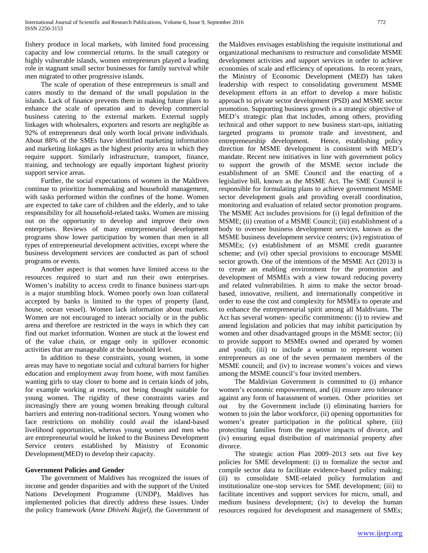fishery produce in local markets, with limited food processing capacity and low commercial returns. In the small category or highly vulnerable islands, women entrepreneurs played a leading role in stagnant small sector businesses for family survival while men migrated to other progressive islands.

 The scale of operation of these entrepreneurs is small and caters mostly to the demand of the small population in the islands. Lack of finance prevents them in making future plans to enhance the scale of operation and to develop commercial business catering to the external markets. External supply linkages with wholesalers, exporters and resorts are negligible as 92% of entrepreneurs deal only worth local private individuals. About 88% of the SMEs have identified marketing information and marketing linkages as the highest priority area in which they require support. Similarly infrastructure, transport, finance, training, and technology are equally important highest priority support service areas.

 Further, the social expectations of women in the Maldives continue to prioritize homemaking and household management, with tasks performed within the confines of the home. Women are expected to take care of children and the elderly, and to take responsibility for all household-related tasks. Women are missing out on the opportunity to develop and improve their own enterprises. Reviews of many entrepreneurial development programs show lower participation by women than men in all types of entrepreneurial development activities, except where the business development services are conducted as part of school programs or events.

 Another aspect is that women have limited access to the resources required to start and run their own enterprises. Women's inability to access credit to finance business start-ups is a major stumbling block. Women poorly own loan collateral accepted by banks is limited to the types of property (land, house, ocean vessel). Women lack information about markets. Women are not encouraged to interact socially or in the public arena and therefore are restricted in the ways in which they can find out market information. Women are stuck at the lowest end of the value chain, or engage only in spillover economic activities that are manageable at the household level.

 In addition to these constraints, young women, in some areas may have to negotiate social and cultural barriers for higher education and employment away from home, with most families wanting girls to stay closer to home and in certain kinds of jobs, for example working at resorts, not being thought suitable for young women. The rigidity of these constraints varies and increasingly there are young women breaking through cultural barriers and entering non-traditional sectors. Young women who face restrictions on mobility could avail the island-based livelihood opportunities, whereas young women and men who are entrepreneurial would be linked to the Business Development Service centers established by Ministry of Economic Development(MED) to develop their capacity.

# **Government Policies and Gender**

 The government of Maldives has recognized the issues of income and gender disparities and with the support of the United Nations Development Programme (UNDP), Maldives has implemented policies that directly address these issues. Under the policy framework (*Anne Dhivehi Rajjel)*, the Government of the Maldives envisages establishing the requisite institutional and organizational mechanisms to restructure and consolidate MSME development activities and support services in order to achieve economies of scale and efficiency of operations. In recent years, the Ministry of Economic Development (MED) has taken leadership with respect to consolidating government MSME development efforts in an effort to develop a more holistic approach to private sector development (PSD) and MSME sector promotion. Supporting business growth is a strategic objective of MED's strategic plan that includes, among others, providing technical and other support to new business start-ups, initiating targeted programs to promote trade and investment, and entrepreneurship development. Hence, establishing policy direction for MSME development is consistent with MED's mandate. Recent new initiatives in line with government policy to support the growth of the MSME sector include the establishment of an SME Council and the enacting of a legislative bill, known as the MSME Act. The SME Council is responsible for formulating plans to achieve government MSME sector development goals and providing overall coordination, monitoring and evaluation of related sector promotion programs. The MSME Act includes provisions for (i) legal definition of the MSME; (ii) creation of a MSME Council; (iii) establishment of a body to oversee business development services, known as the MSME business development service centers; (iv) registration of MSMEs; (v) establishment of an MSME credit guarantee scheme; and (vi) other special provisions to encourage MSME sector growth. One of the intentions of the MSME Act (2013) is to create an enabling environment for the promotion and development of MSMEs with a view toward reducing poverty and related vulnerabilities. It aims to make the sector broadbased, innovative, resilient, and internationally competitive in order to ease the cost and complexity for MSMEs to operate and to enhance the entrepreneurial spirit among all Maldivians. The Act has several women- specific commitments: (i) to review and amend legislation and policies that may inhibit participation by women and other disadvantaged groups in the MSME sector; (ii) to provide support to MSMEs owned and operated by women and youth; (iii) to include a woman to represent women entrepreneurs as one of the seven permanent members of the MSME council; and (iv) to increase women's voices and views among the MSME council's four invited members.

 The Maldivian Government is committed to (i) enhance women's economic empowerment, and (ii) ensure zero tolerance against any form of harassment of women. Other priorities set out by the Government include (i) eliminating barriers for women to join the labor workforce, (ii) opening opportunities for women's greater participation in the political sphere, (iii) protecting families from the negative impacts of divorce, and (iv) ensuring equal distribution of matrimonial property after divorce.

 The strategic action Plan 2009–2013 sets out five key policies for SME development: (i) to formalize the sector and compile sector data to facilitate evidence-based policy making; (ii) to consolidate SME-related policy formulation and institutionalize one-stop services for SME development; (iii) to facilitate incentives and support services for micro, small, and medium business development; (iv) to develop the human resources required for development and management of SMEs;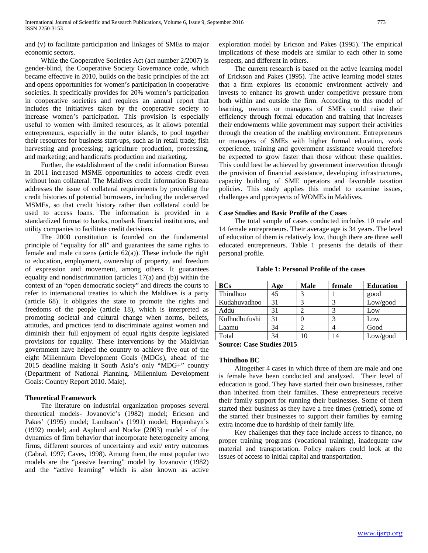and (v) to facilitate participation and linkages of SMEs to major economic sectors.

 While the Cooperative Societies Act (act number 2/2007) is gender-blind, the Cooperative Society Governance code, which became effective in 2010, builds on the basic principles of the act and opens opportunities for women's participation in cooperative societies. It specifically provides for 20% women's participation in cooperative societies and requires an annual report that includes the initiatives taken by the cooperative society to increase women's participation. This provision is especially useful to women with limited resources, as it allows potential entrepreneurs, especially in the outer islands, to pool together their resources for business start-ups, such as in retail trade; fish harvesting and processing; agriculture production, processing, and marketing; and handicrafts production and marketing.

 Further, the establishment of the credit information Bureau in 2011 increased MSME opportunities to access credit even without loan collateral. The Maldives credit information Bureau addresses the issue of collateral requirements by providing the credit histories of potential borrowers, including the underserved MSMEs, so that credit history rather than collateral could be used to access loans. The information is provided in a standardized format to banks, nonbank financial institutions, and utility companies to facilitate credit decisions.

 The 2008 constitution is founded on the fundamental principle of "equality for all" and guarantees the same rights to female and male citizens (article  $62(a)$ ). These include the right to education, employment, ownership of property, and freedom of expression and movement, among others. It guarantees equality and nondiscrimination (articles 17(a) and (b)) within the context of an "open democratic society" and directs the courts to refer to international treaties to which the Maldives is a party (article 68). It obligates the state to promote the rights and freedoms of the people (article 18), which is interpreted as promoting societal and cultural change when norms, beliefs, attitudes, and practices tend to discriminate against women and diminish their full enjoyment of equal rights despite legislated provisions for equality. These interventions by the Maldivian government have helped the country to achieve five out of the eight Millennium Development Goals (MDGs), ahead of the 2015 deadline making it South Asia's only "MDG+" country (Department of National Planning. Millennium Development Goals: Country Report 2010. Male).

## **Theoretical Framework**

 The literature on industrial organization proposes several theoretical models- Jovanovic's (1982) model; Ericson and Pakes' (1995) model; Lambson's (1991) model; Hopenhayn's (1992) model; and Asplund and Nocke (2003) model - of the dynamics of firm behavior that incorporate heterogeneity among firms, different sources of uncertainty and exit/ entry outcomes (Cabral, 1997; Caves, 1998). Among them, the most popular two models are the "passive learning" model by Jovanovic (1982) and the "active learning" which is also known as active

exploration model by Ericson and Pakes (1995). The empirical implications of these models are similar to each other in some respects, and different in others.

 The current research is based on the active learning model of Erickson and Pakes (1995). The active learning model states that a firm explores its economic environment actively and invests to enhance its growth under competitive pressure from both within and outside the firm. According to this model of learning, owners or managers of SMEs could raise their efficiency through formal education and training that increases their endowments while government may support their activities through the creation of the enabling environment. Entrepreneurs or managers of SMEs with higher formal education, work experience, training and government assistance would therefore be expected to grow faster than those without these qualities. This could best be achieved by government intervention through the provision of financial assistance, developing infrastructures, capacity building of SME operators and favorable taxation policies. This study applies this model to examine issues, challenges and pprospects of WOMEs in Maldives.

## **Case Studies and Basic Profile of the Cases**

 The total sample of cases conducted includes 10 male and 14 female entrepreneurs. Their average age is 34 years. The level of education of them is relatively low, though there are three well educated entrepreneurs. Table 1 presents the details of their personal profile.

| <b>BCs</b>    | Age | <b>Male</b> | female | <b>Education</b> |
|---------------|-----|-------------|--------|------------------|
| Thindhoo      | 45  |             |        | good             |
| Kudahuvadhoo  | 31  |             |        | Low/good         |
| Addu          | 31  |             |        | Low              |
| Kulhudhufushi | 31  |             |        | Low              |
| Laamu         | 34  |             |        | Good             |
| Total         | 34  |             | 14     | Low/good         |

## **Table 1: Personal Profile of the cases**

**Source: Case Studies 2015**

#### **Thindhoo BC**

 Altogether 4 cases in which three of them are male and one is female have been conducted and analyzed. Their level of education is good. They have started their own businesses, rather than inherited from their families. These entrepreneurs receive their family support for running their businesses. Some of them started their business as they have a free times (retried), some of the started their businesses to support their families by earning extra income due to hardship of their family life.

 Key challenges that they face include access to finance, no proper training programs (vocational training), inadequate raw material and transportation. Policy makers could look at the issues of access to initial capital and transportation.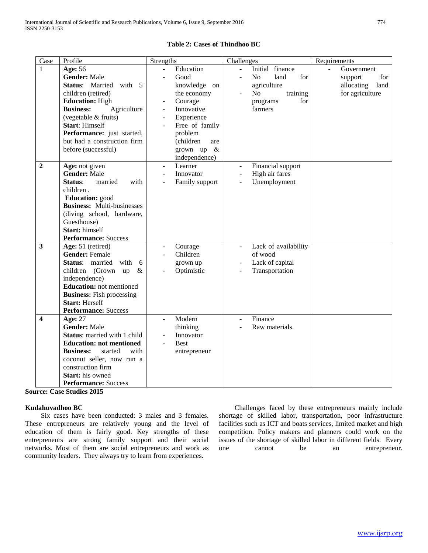| Case           | Profile                              | Strengths                               | Challenges                                    | Requirements                           |
|----------------|--------------------------------------|-----------------------------------------|-----------------------------------------------|----------------------------------------|
| 1              | Age: 56                              | Education<br>$\overline{\phantom{a}}$   | Initial finance<br>$\overline{a}$             | Government<br>$\overline{\phantom{a}}$ |
|                | <b>Gender: Male</b>                  | Good                                    | N <sub>o</sub><br>land<br>for                 | for<br>support                         |
|                | <b>Status:</b> Married<br>with 5     | knowledge on                            | agriculture                                   | allocating<br>land                     |
|                | children (retired)                   | the economy                             | No<br>training                                | for agriculture                        |
|                | <b>Education: High</b>               | Courage<br>$\overline{\phantom{a}}$     | for<br>programs                               |                                        |
|                | <b>Business:</b><br>Agriculture      | Innovative<br>$\Box$                    | farmers                                       |                                        |
|                | (vegetable & fruits)                 | Experience<br>÷,                        |                                               |                                        |
|                | <b>Start: Himself</b>                | Free of family                          |                                               |                                        |
|                | Performance: just started,           | problem                                 |                                               |                                        |
|                | but had a construction firm          | (children<br>are                        |                                               |                                        |
|                | before (successful)                  | grown up $\&$                           |                                               |                                        |
|                |                                      | independence)                           |                                               |                                        |
| $\overline{2}$ | Age: not given                       | Learner<br>$\overline{\phantom{a}}$     | Financial support<br>$\overline{\phantom{a}}$ |                                        |
|                | <b>Gender: Male</b>                  | Innovator<br>$\overline{a}$             | High air fares<br>$\overline{a}$              |                                        |
|                | Status:<br>married<br>with           | Family support                          | Unemployment<br>$\overline{a}$                |                                        |
|                | children.                            |                                         |                                               |                                        |
|                | Education: good                      |                                         |                                               |                                        |
|                | <b>Business:</b> Multi-businesses    |                                         |                                               |                                        |
|                | (diving school, hardware,            |                                         |                                               |                                        |
|                | Guesthouse)                          |                                         |                                               |                                        |
|                | Start: himself                       |                                         |                                               |                                        |
|                | <b>Performance:</b> Success          |                                         |                                               |                                        |
| 3              | Age: 51 (retired)                    | Courage<br>$\overline{\phantom{a}}$     | Lack of availability<br>$\blacksquare$        |                                        |
|                | <b>Gender: Female</b>                | Children                                | of wood                                       |                                        |
|                | <b>Status:</b> married<br>with<br>-6 | grown up                                | Lack of capital<br>$\blacksquare$             |                                        |
|                | children (Grown<br>$\&$<br>up        | Optimistic                              | Transportation                                |                                        |
|                | independence)                        |                                         |                                               |                                        |
|                | <b>Education:</b> not mentioned      |                                         |                                               |                                        |
|                | <b>Business:</b> Fish processing     |                                         |                                               |                                        |
|                | <b>Start: Herself</b>                |                                         |                                               |                                        |
|                | <b>Performance:</b> Success          |                                         |                                               |                                        |
| 4              | Age: 27                              | Modern<br>$\blacksquare$                | Finance<br>$\blacksquare$                     |                                        |
|                | <b>Gender: Male</b>                  | thinking                                | Raw materials.                                |                                        |
|                | Status: married with 1 child         | Innovator                               |                                               |                                        |
|                | <b>Education: not mentioned</b>      | <b>Best</b><br>$\overline{\phantom{a}}$ |                                               |                                        |
|                | <b>Business:</b><br>started<br>with  | entrepreneur                            |                                               |                                        |
|                | coconut seller, now run a            |                                         |                                               |                                        |
|                | construction firm                    |                                         |                                               |                                        |
|                | <b>Start:</b> his owned              |                                         |                                               |                                        |
|                | <b>Performance: Success</b>          |                                         |                                               |                                        |

## **Table 2: Cases of Thindhoo BC**

**Source: Case Studies 2015**

# **Kudahuvadhoo BC**

 Six cases have been conducted: 3 males and 3 females. These entrepreneurs are relatively young and the level of education of them is fairly good. Key strengths of these entrepreneurs are strong family support and their social networks. Most of them are social entrepreneurs and work as community leaders. They always try to learn from experiences.

 Challenges faced by these entrepreneurs mainly include shortage of skilled labor, transportation, poor infrastructure facilities such as ICT and boats services, limited market and high competition. Policy makers and planners could work on the issues of the shortage of skilled labor in different fields. Every one cannot be an entrepreneur.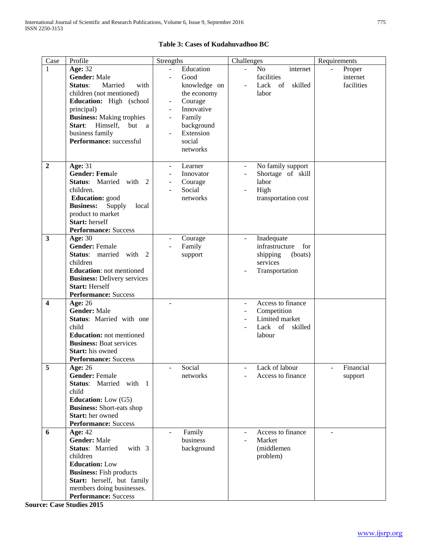| Case                    | Profile                                                                                                                                                                                                                                                       | Strengths                                                                                                                                                                                          | Challenges                                                                                                      | Requirements                                       |
|-------------------------|---------------------------------------------------------------------------------------------------------------------------------------------------------------------------------------------------------------------------------------------------------------|----------------------------------------------------------------------------------------------------------------------------------------------------------------------------------------------------|-----------------------------------------------------------------------------------------------------------------|----------------------------------------------------|
| 1                       | Age: 32<br><b>Gender: Male</b><br>Status:<br>Married<br>with<br>children (not mentioned)<br>Education: High (school<br>principal)<br><b>Business:</b> Making trophies<br>but<br>Start: Himself,<br><sub>a</sub><br>business family<br>Performance: successful | Education<br>÷.<br>Good<br>knowledge on<br>the economy<br>Courage<br>$\overline{\phantom{a}}$<br>Innovative<br>Family<br>background<br>Extension<br>$\overline{\phantom{a}}$<br>social<br>networks | $\equiv$<br>N <sub>o</sub><br>internet<br>facilities<br>Lack of<br>skilled<br>$\overline{\phantom{a}}$<br>labor | Proper<br>$\overline{a}$<br>internet<br>facilities |
| $\overline{2}$          | Age: $31$<br><b>Gender: Female</b><br>Status: Married with 2<br>children.<br><b>Education:</b> good<br><b>Business:</b><br>Supply<br>local<br>product to market<br>Start: herself<br><b>Performance: Success</b>                                              | Learner<br>$\overline{\phantom{a}}$<br>Innovator<br>Courage<br>Social<br>$\overline{\phantom{a}}$<br>networks                                                                                      | No family support<br>Shortage of skill<br>labor<br>High<br>transportation cost                                  |                                                    |
| $\overline{\mathbf{3}}$ | <b>Age: 30</b><br><b>Gender: Female</b><br>Status: married with 2<br>children<br><b>Education:</b> not mentioned<br><b>Business: Delivery services</b><br><b>Start: Herself</b><br><b>Performance: Success</b>                                                | Courage<br>Family<br>support                                                                                                                                                                       | Inadequate<br>$\frac{1}{2}$<br>infrastructure<br>for<br>shipping<br>(boats)<br>services<br>Transportation       |                                                    |
| 4                       | <b>Age: 26</b><br><b>Gender: Male</b><br>Status: Married with one<br>child<br><b>Education:</b> not mentioned<br><b>Business: Boat services</b><br>Start: his owned<br><b>Performance: Success</b>                                                            |                                                                                                                                                                                                    | Access to finance<br>Competition<br>$\overline{\phantom{a}}$<br>Limited market<br>Lack of skilled<br>labour     |                                                    |
| $\overline{5}$          | <b>Age: 26</b><br><b>Gender: Female</b><br>Status: Married with 1<br>child<br><b>Education:</b> Low (G5)<br><b>Business:</b> Short-eats shop<br>Start: her owned<br><b>Performance: Success</b>                                                               | Social<br>networks                                                                                                                                                                                 | Lack of labour<br>Access to finance                                                                             | Financial<br>support                               |
| 6                       | <b>Age: 42</b><br><b>Gender: Male</b><br><b>Status: Married</b><br>with 3<br>children<br><b>Education: Low</b><br><b>Business:</b> Fish products<br>Start: herself, but family<br>members doing businesses.<br><b>Performance: Success</b>                    | Family<br>business<br>background                                                                                                                                                                   | Access to finance<br>$\overline{\phantom{a}}$<br>Market<br>(middlemen<br>problem)                               |                                                    |

# **Table 3: Cases of Kudahuvadhoo BC**

**Source: Case Studies 2015**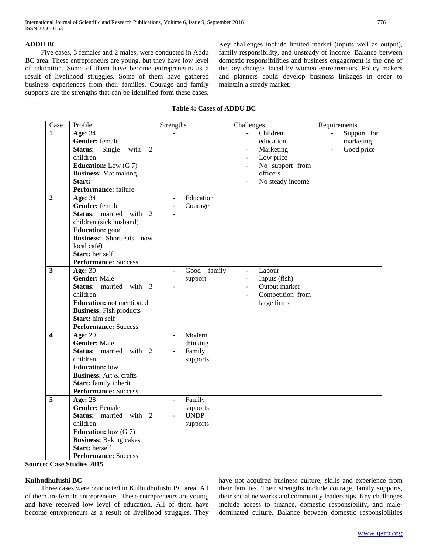## **ADDU BC**

 Five cases, 3 females and 2 males, were conducted in Addu BC area. These entrepreneurs are young, but they have low level of education. Some of them have become entrepreneurs as a result of livelihood struggles. Some of them have gathered business experiences from their families. Courage and family supports are the strengths that can be identified form these cases.

Key challenges include limited market (inputs well as output), family responsibility, and unsteady of income. Balance between domestic responsibilities and business engagement is the one of the key changes faced by women entrepreneurs. Policy makers and planners could develop business linkages in order to maintain a steady market.

# **Table 4: Cases of ADDU BC**

| Case                    | Profile                                             | Strengths                          | Challenges                                | Requirements |
|-------------------------|-----------------------------------------------------|------------------------------------|-------------------------------------------|--------------|
| 1                       | <b>Age: 34</b>                                      |                                    | Children                                  | Support for  |
|                         | Gender: female                                      |                                    | education                                 | marketing    |
|                         | Status:<br>Single<br>with<br>$\overline{2}$         |                                    | Marketing                                 | Good price   |
|                         | children                                            |                                    | Low price<br>$\blacksquare$               |              |
|                         | <b>Education:</b> Low $(G 7)$                       |                                    | No support from                           |              |
|                         | <b>Business:</b> Mat making                         |                                    | officers                                  |              |
|                         | Start:                                              |                                    | No steady income                          |              |
|                         | Performance: failure                                |                                    |                                           |              |
| $\overline{2}$          | Age: 34                                             | Education                          |                                           |              |
|                         | Gender: female                                      | Courage                            |                                           |              |
|                         | Status: married with<br>$\mathfrak{D}$              |                                    |                                           |              |
|                         | children (sick husband)                             |                                    |                                           |              |
|                         | Education: good                                     |                                    |                                           |              |
|                         | Business: Short-eats, now                           |                                    |                                           |              |
|                         | local café)                                         |                                    |                                           |              |
|                         | Start: her self                                     |                                    |                                           |              |
|                         | <b>Performance: Success</b>                         |                                    |                                           |              |
| $\overline{\mathbf{3}}$ | <b>Age: 30</b>                                      | Good family                        | Labour<br>$\blacksquare$                  |              |
|                         | <b>Gender: Male</b>                                 | support                            | Inputs (fish)<br>$\overline{\phantom{a}}$ |              |
|                         | <b>Status:</b> married with<br>$\mathcal{F}$        |                                    | Output market<br>$\blacksquare$           |              |
|                         | children                                            |                                    | Competition from<br>$\blacksquare$        |              |
|                         | <b>Education:</b> not mentioned                     |                                    | large firms                               |              |
|                         | <b>Business:</b> Fish products                      |                                    |                                           |              |
|                         | Start: him self                                     |                                    |                                           |              |
|                         | <b>Performance:</b> Success                         |                                    |                                           |              |
| $\blacktriangle$        | <b>Age: 29</b>                                      | Modern<br>$\overline{\phantom{0}}$ |                                           |              |
|                         | Gender: Male                                        | thinking                           |                                           |              |
|                         | Status: married with<br>$\mathfrak{D}$              | Family                             |                                           |              |
|                         | children                                            | supports                           |                                           |              |
|                         | <b>Education:</b> low                               |                                    |                                           |              |
|                         | <b>Business:</b> Art & crafts                       |                                    |                                           |              |
|                         | Start: family inherit                               |                                    |                                           |              |
|                         | <b>Performance: Success</b>                         |                                    |                                           |              |
| 5                       | <b>Age: 28</b>                                      | Family<br>$\overline{\phantom{a}}$ |                                           |              |
|                         | <b>Gender: Female</b>                               | supports                           |                                           |              |
|                         | Status: married with<br>$\mathcal{D}_{\mathcal{L}}$ | <b>UNDP</b>                        |                                           |              |
|                         | children                                            | supports                           |                                           |              |
|                         | <b>Education:</b> low $(G 7)$                       |                                    |                                           |              |
|                         | <b>Business:</b> Baking cakes                       |                                    |                                           |              |
|                         | Start: herself                                      |                                    |                                           |              |
|                         | <b>Performance: Success</b>                         |                                    |                                           |              |

**Source: Case Studies 2015**

# **Kulhudhufushi BC**

 Three cases were conducted in Kulhudhufushi BC area. All of them are female entrepreneurs. These entrepreneurs are young, and have received low level of education. All of them have become entrepreneurs as a result of livelihood struggles. They

have not acquired business culture, skills and experience from their families. Their strengths include courage, family supports, their social networks and community leaderships. Key challenges include access to finance, domestic responsibility, and maledominated culture. Balance between domestic responsibilities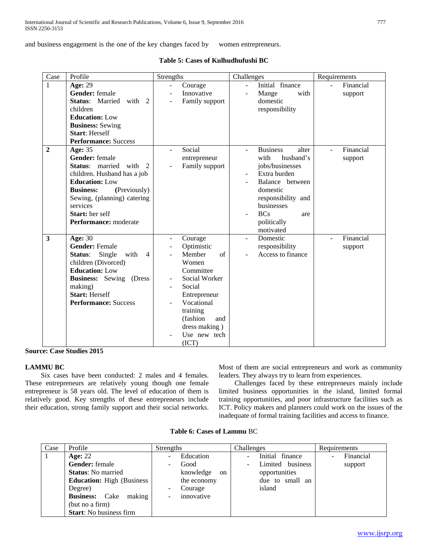and business engagement is the one of the key changes faced by women entrepreneurs.

|  | Table 5: Cases of Kulhudhufushi BC |  |
|--|------------------------------------|--|
|  |                                    |  |

| Case           | Profile                                                                                                                                                                                                                                              | Strengths                                                                                                                                                                                                    | Challenges                                                                                                                                                                                           | Requirements                           |
|----------------|------------------------------------------------------------------------------------------------------------------------------------------------------------------------------------------------------------------------------------------------------|--------------------------------------------------------------------------------------------------------------------------------------------------------------------------------------------------------------|------------------------------------------------------------------------------------------------------------------------------------------------------------------------------------------------------|----------------------------------------|
| 1              | <b>Age: 29</b><br>Gender: female<br>Status: Married<br>with<br>2<br>children<br><b>Education: Low</b><br><b>Business:</b> Sewing<br><b>Start: Herself</b><br><b>Performance: Success</b>                                                             | Courage<br>÷.<br>Innovative<br>Family support                                                                                                                                                                | Initial finance<br>$\overline{a}$<br>Mange<br>with<br>domestic<br>responsibility                                                                                                                     | Financial<br>$\overline{a}$<br>support |
| $\overline{2}$ | Age: 35<br><b>Gender:</b> female<br><b>Status:</b> married with 2<br>children. Husband has a job<br><b>Education: Low</b><br>(Previously)<br><b>Business:</b><br>Sewing, (planning) catering<br>services<br>Start: her self<br>Performance: moderate | Social<br>۰<br>entrepreneur<br>Family support                                                                                                                                                                | <b>Business</b><br>alter<br>husband's<br>with<br>jobs/businesses<br>Extra burden<br>Balance between<br>domestic<br>responsibility and<br>businesses<br><b>BCs</b><br>are<br>politically<br>motivated | Financial<br>support                   |
| 3              | <b>Age: 30</b><br><b>Gender:</b> Female<br>Status:<br>Single<br>with<br>$\overline{4}$<br>children (Divorced)<br><b>Education: Low</b><br><b>Business:</b> Sewing (Dress<br>making)<br><b>Start: Herself</b><br><b>Performance:</b> Success          | Courage<br>÷.<br>Optimistic<br>Member<br>$\sigma$ f<br>Women<br>Committee<br>Social Worker<br>Social<br>Entrepreneur<br>Vocational<br>training<br>(fashion)<br>and<br>dress making)<br>Use new tech<br>(ICT) | Domestic<br>responsibility<br>Access to finance                                                                                                                                                      | Financial<br>support                   |

## **Source: Case Studies 2015**

#### **LAMMU BC**

 Six cases have been conducted: 2 males and 4 females. These entrepreneurs are relatively young though one female entrepreneur is 58 years old. The level of education of them is relatively good. Key strengths of these entrepreneurs include their education, strong family support and their social networks.

Most of them are social entrepreneurs and work as community leaders. They always try to learn from experiences.

 Challenges faced by these entrepreneurs mainly include limited business opportunities in the island, limited formal training opportunities, and poor infrastructure facilities such as ICT. Policy makers and planners could work on the issues of the inadequate of formal training facilities and access to finance.

| Case | Profile                            | Strengths                             | Challenges       | Requirements |
|------|------------------------------------|---------------------------------------|------------------|--------------|
|      | Age: $22$                          | Education<br>$\overline{\phantom{m}}$ | Initial finance  | Financial    |
|      | <b>Gender:</b> female              | Good<br>۰                             | Limited business | support      |
|      | <b>Status:</b> No married          | knowledge<br>on                       | opportunities    |              |
|      | <b>Education:</b> High (Business)  | the economy                           | due to small an  |              |
|      | Degree)                            | Courage<br>-                          | island           |              |
|      | Cake<br><b>Business:</b><br>making | innovative<br>٠                       |                  |              |
|      | (but no a firm)                    |                                       |                  |              |
|      | <b>Start:</b> No business firm     |                                       |                  |              |

**Table 6: Cases of Lammu** BC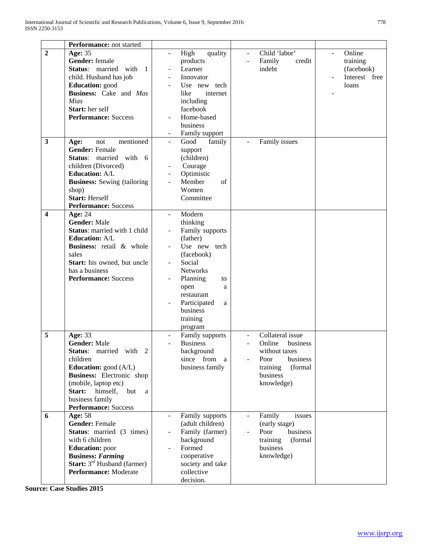|                                         | Performance: not started                                                                                                                                                                                                                                    |                                                                                                                                                                                                        |                                                                                                                              |                                                                              |
|-----------------------------------------|-------------------------------------------------------------------------------------------------------------------------------------------------------------------------------------------------------------------------------------------------------------|--------------------------------------------------------------------------------------------------------------------------------------------------------------------------------------------------------|------------------------------------------------------------------------------------------------------------------------------|------------------------------------------------------------------------------|
| $\overline{2}$                          | Age: 35<br>Gender: female<br>Status: married<br>with 1<br>child. Husband has job<br><b>Education:</b> good<br>Business: Cake and Mas<br>Mias<br>Start: her self<br><b>Performance: Success</b>                                                              | High<br>quality<br>$\blacksquare$<br>products<br>Learner<br>÷,<br>Innovator<br>Use new tech<br>like<br>internet<br>including<br>facebook<br>Home-based<br>business<br>Family support                   | Child 'labor'<br>$\overline{\phantom{a}}$<br>Family<br>credit<br>indebt                                                      | Online<br>$\blacksquare$<br>training<br>(facebook)<br>Interest free<br>loans |
| $\mathbf{3}$<br>$\overline{\mathbf{4}}$ | mentioned<br>Age:<br>not<br><b>Gender: Female</b><br>Status: married with<br>- 6<br>children (Divorced)<br><b>Education: A/L</b><br><b>Business:</b> Sewing (tailoring<br>shop)<br><b>Start: Herself</b><br><b>Performance: Success</b><br><b>Age: 24</b>   | family<br>Good<br>$\equiv$<br>support<br>(children)<br>Courage<br>$\overline{\phantom{0}}$<br>Optimistic<br>$\overline{\phantom{a}}$<br>Member<br>of<br>L,<br>Women<br>Committee<br>Modern<br>$\equiv$ | Family issues<br>$\blacksquare$                                                                                              |                                                                              |
|                                         | <b>Gender: Male</b><br>Status: married with 1 child<br><b>Education: A/L</b><br>Business: retail & whole<br>sales<br>Start: his owned, but uncle<br>has a business<br><b>Performance: Success</b>                                                           | thinking<br>Family supports<br>(father)<br>Use new tech<br>(facebook)<br>Social<br>Networks<br>Planning<br>to<br>open<br>a<br>restaurant<br>Participated<br>a<br>business<br>training<br>program       |                                                                                                                              |                                                                              |
| 5                                       | <b>Age: 33</b><br><b>Gender: Male</b><br>Status: married with 2<br>children<br><b>Education:</b> good (A/L)<br><b>Business:</b> Electronic shop<br>(mobile, laptop etc)<br>Start:<br>himself,<br>but<br>a<br>business family<br><b>Performance:</b> Success | Family supports<br><b>Business</b><br>background<br>since from a<br>business family                                                                                                                    | Collateral issue<br>Online<br>business<br>without taxes<br>business<br>Poor<br>(formal<br>training<br>business<br>knowledge) |                                                                              |
| 6                                       | Age: 58<br><b>Gender: Female</b><br><b>Status:</b> married (3 times)<br>with 6 children<br><b>Education:</b> poor<br><b>Business: Farming</b><br><b>Start:</b> 3 <sup>rd</sup> Husband (farmer)<br>Performance: Moderate                                    | Family supports<br>(adult children)<br>Family (farmer)<br>background<br>Formed<br>cooperative<br>society and take<br>collective<br>decision.                                                           | Family<br>issues<br>(early stage)<br>business<br>Poor<br>(formal<br>training<br>business<br>knowledge)                       |                                                                              |

**Source: Case Studies 2015**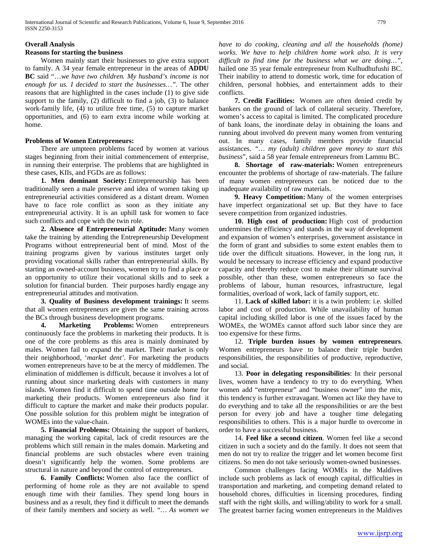# **Overall Analysis**

## **Reasons for starting the business**

 Women mainly start their businesses to give extra support to family. A 34 year female entrepreneur in the areas of **ADDU BC** said "…*we have two children. My husband's income is not enough for us. I decided to start the businesses…".* The other reasons that are highlighted in the cases include (1) to give side support to the family, (2) difficult to find a job, (3) to balance work-family life, (4) to utilize free time, (5) to capture market opportunities, and (6) to earn extra income while working at home.

## **Problems of Women Entrepreneurs:**

 There are umpteen problems faced by women at various stages beginning from their initial commencement of enterprise, in running their enterprise. The problems that are highlighted in these cases, KIIs, and FGDs are as follows:

 **1. Men dominant Society:** Entrepreneurship has been traditionally seen a male preserve and idea of women taking up entrepreneurial activities considered as a distant dream. Women have to face role conflict as soon as they initiate any entrepreneurial activity. It is an uphill task for women to face such conflicts and cope with the twin role.

 **2. Absence of Entrepreneurial Aptitude:** Many women take the training by attending the Entrepreneurship Development Programs without entrepreneurial bent of mind. Most of the training programs given by various institutes target only providing vocational skills rather than entrepreneurial skills. By starting an owned-account business, women try to find a place or an opportunity to utilize their vocational skills and to seek a solution for financial burden. Their purposes hardly engage any entrepreneurial attitudes and motivation.

 **3. Quality of Business development trainings:** It seems that all women entrepreneurs are given the same training across the BCs through business development programs.

 **4. Marketing Problems:** Women entrepreneurs continuously face the problems in marketing their products. It is one of the core problems as this area is mainly dominated by males. Women fail to expand the market. Their market is only their neighborhood, '*market dent'*. For marketing the products women entrepreneurs have to be at the mercy of middlemen. The elimination of middlemen is difficult, because it involves a lot of running about since marketing deals with customers in many islands. Women find it difficult to spend time outside home for marketing their products. Women entrepreneurs also find it difficult to capture the market and make their products popular. One possible solution for this problem might be integration of WOMEs into the value-chain.

 **5. Financial Problems:** Obtaining the support of bankers, managing the working capital, lack of credit resources are the problems which still remain in the males domain. Marketing and financial problems are such obstacles where even training doesn't significantly help the women. Some problems are structural in nature and beyond the control of entrepreneurs.

 **6. Family Conflicts:** Women also face the conflict of performing of home role as they are not available to spend enough time with their families. They spend long hours in business and as a result, they find it difficult to meet the demands of their family members and society as well. *"… As women we*  *have to do cooking, cleaning and all the households (home) works. We have to help children home work also. It is very difficult to find time for the business what we are doing…"*, hailed one 35 year female entrepreneur from Kulhudhufushi BC. Their inability to attend to domestic work, time for education of children, personal hobbies, and entertainment adds to their conflicts.

 **7. Credit Facilities:** Women are often denied credit by bankers on the ground of lack of collateral security. Therefore, women's access to capital is limited. The complicated procedure of bank loans, the inordinate delay in obtaining the loans and running about involved do prevent many women from venturing out. In many cases, family members provide financial assistances. *"… my (adult) children gave money to start this business*", said a 58 year female entrepreneurs from Lammu BC.

 **8. Shortage of raw-materials:** Women entrepreneurs encounter the problems of shortage of raw-materials. The failure of many women entrepreneurs can be noticed due to the inadequate availability of raw materials.

 **9. Heavy Competition:** Many of the women enterprises have imperfect organizational set up. But they have to face severe competition from organized industries.

 **10. High cost of production:** High cost of production undermines the efficiency and stands in the way of development and expansion of women's enterprises, government assistance in the form of grant and subsidies to some extent enables them to tide over the difficult situations. However, in the long run, it would be necessary to increase efficiency and expand productive capacity and thereby reduce cost to make their ultimate survival possible, other than these, women entrepreneurs so face the problems of labour, human resources, infrastructure, legal formalities, overload of work, lack of family support, etc.

 11. **Lack of skilled labor:** it is a twin problem: i.e. skilled labor and cost of production. While unavailability of human capital including skilled labor is one of the issues faced by the WOMEs, the WOMEs cannot afford such labor since they are too expensive for these firms.

 12. **Triple burden issues by women entrepreneurs**. Women entrepreneurs have to balance their triple burden responsibilities, the responsibilities of productive, reproductive, and social.

 13. **Poor in delegating responsibilities**: In their personal lives, women have a tendency to try to do everything. When women add "entrepreneur" and "business owner" into the mix, this tendency is further extravagant. Women act like they have to do everything and to take all the responsibilities or are the best person for every job and have a tougher time delegating responsibilities to others. This is a major hurdle to overcome in order to have a successful business.

 14. **Feel like a second citizen**. Women feel like a second citizen in such a society and do the family. It does not seem that men do not try to realize the trigger and let women become first citizens. So men do not take seriously women-owned businesses.

 Common challenges facing WOMEs in the Maldives include such problems as lack of enough capital, difficulties in transportation and marketing, and competing demand related to household chores, difficulties in licensing procedures, finding staff with the right skills, and willing/ability to work for a small. The greatest barrier facing women entrepreneurs in the Maldives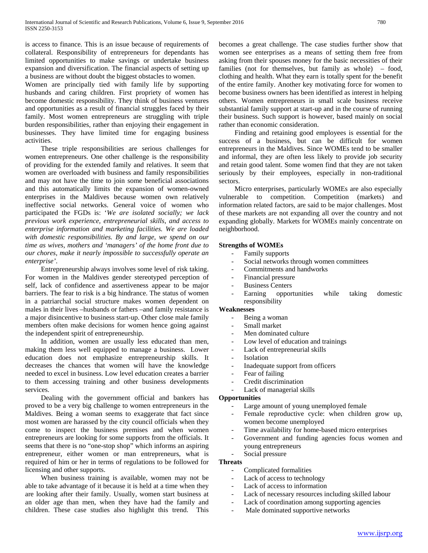is access to finance. This is an issue because of requirements of collateral. Responsibility of entrepreneurs for dependants has limited opportunities to make savings or undertake business expansion and diversification. The financial aspects of setting up a business are without doubt the biggest obstacles to women.

Women are principally tied with family life by supporting husbands and caring children. First propriety of women has become domestic responsibility. They think of business ventures and opportunities as a result of financial struggles faced by their family. Most women entrepreneurs are struggling with triple burden responsibilities, rather than enjoying their engagement in businesses. They have limited time for engaging business activities.

 These triple responsibilities are serious challenges for women entrepreneurs. One other challenge is the responsibility of providing for the extended family and relatives. It seem that women are overloaded with business and family responsibilities and may not have the time to join some beneficial associations and this automatically limits the expansion of women-owned enterprises in the Maldives because women own relatively ineffective social networks. General voice of women who participated the FGDs is: '*We are isolated socially; we lack previous work experience, entrepreneurial skills, and access to enterprise information and marketing facilities. We are loaded with domestic responsibilities. By and large, we spend on our time as wives, mothers and 'managers' of the home front due to our chores, make it nearly impossible to successfully operate an enterprise'*.

 Entrepreneurship always involves some level of risk taking. For women in the Maldives gender stereotyped perception of self, lack of confidence and assertiveness appear to be major barriers. The fear to risk is a big hindrance. The status of women in a patriarchal social structure makes women dependent on males in their lives –husbands or fathers –and family resistance is a major disincentive to business start-up. Other close male family members often make decisions for women hence going against the independent spirit of entrepreneurship.

 In addition, women are usually less educated than men, making them less well equipped to manage a business. Lower education does not emphasize entrepreneurship skills. It decreases the chances that women will have the knowledge needed to excel in business. Low level education creates a barrier to them accessing training and other business developments services.

 Dealing with the government official and bankers has proved to be a very big challenge to women entrepreneurs in the Maldives. Being a woman seems to exaggerate that fact since most women are harassed by the city council officials when they come to inspect the business premises and when women entrepreneurs are looking for some supports from the officials. It seems that there is no "one-stop shop" which informs an aspiring entrepreneur, either women or man entrepreneurs, what is required of him or her in terms of regulations to be followed for licensing and other supports.

 When business training is available, women may not be able to take advantage of it because it is held at a time when they are looking after their family. Usually, women start business at an older age than men, when they have had the family and children. These case studies also highlight this trend. This

becomes a great challenge. The case studies further show that women see enterprises as a means of setting them free from asking from their spouses money for the basic necessities of their families (not for themselves, but family as whole) – food, clothing and health. What they earn is totally spent for the benefit of the entire family. Another key motivating force for women to become business owners has been identified as interest in helping others. Women entrepreneurs in small scale business receive substantial family support at start-up and in the course of running their business. Such support is however, based mainly on social rather than economic consideration.

 Finding and retaining good employees is essential for the success of a business, but can be difficult for women entrepreneurs in the Maldives. Since WOMEs tend to be smaller and informal, they are often less likely to provide job security and retain good talent. Some women find that they are not taken seriously by their employees, especially in non-traditional sectors.

 Micro enterprises, particularly WOMEs are also especially vulnerable to competition. Competition (markets) and information related factors, are said to be major challenges. Most of these markets are not expanding all over the country and not expanding globally. Markets for WOMEs mainly concentrate on neighborhood.

# **Strengths of WOMEs**

- Family supports
- Social networks through women committees
- Commitments and handworks
- Financial pressure
- **Business Centers**
- Earning opportunities while taking domestic responsibility

## **Weaknesses**

- Being a woman
- Small market
- Men dominated culture
- Low level of education and trainings
- Lack of entrepreneurial skills
- **Isolation**
- Inadequate support from officers
- Fear of failing
- Credit discrimination
- Lack of managerial skills

#### **Opportunities**

- Large amount of young unemployed female
- Female reproductive cycle: when children grow up, women become unemployed
- Time availability for home-based micro enterprises
- Government and funding agencies focus women and young entrepreneurs
- Social pressure

## **Threats**

- Complicated formalities
- Lack of access to technology
- Lack of access to information
- Lack of necessary resources including skilled labour
- Lack of coordination among supporting agencies
- Male dominated supportive networks